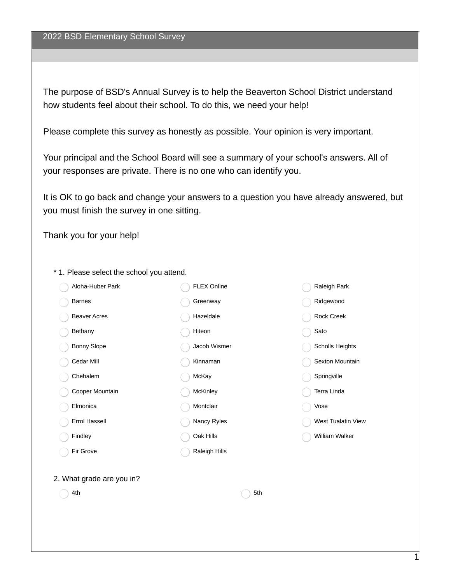The purpose of BSD's Annual Survey is to help the Beaverton School District understand how students feel about their school. To do this, we need your help!

Please complete this survey as honestly as possible. Your opinion is very important.

Your principal and the School Board will see a summary of your school's answers. All of your responses are private. There is no one who can identify you.

It is OK to go back and change your answers to a question you have already answered, but you must finish the survey in one sitting.

Thank you for your help!

- Aloha-Huber Park Barnes Beaver Acres Bethany Bonny Slope Cedar Mill Chehalem Cooper Mountain Elmonica Errol Hassell Findley Fir Grove FLEX Online Greenway Hazeldale Hiteon Jacob Wismer Kinnaman McKay McKinley Montclair Nancy Ryles Oak Hills Raleigh Hills Raleigh Park Ridgewood Rock Creek Sato Scholls Heights Sexton Mountain **Springville** Terra Linda Vose West Tualatin View William Walker 2. What grade are you in?  $4th$  5th
- \* 1. Please select the school you attend.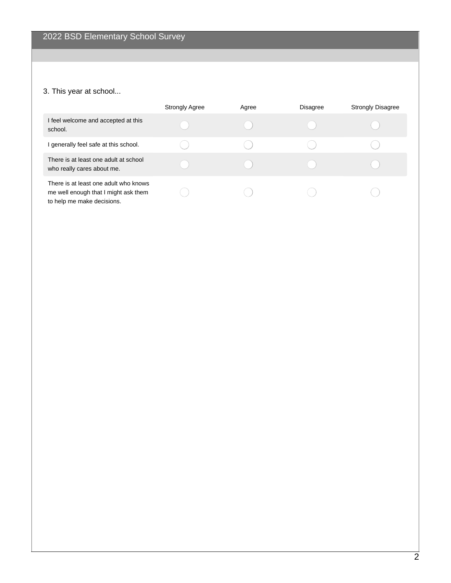## 3. This year at school...

|                                                                                                             | <b>Strongly Agree</b> | Agree | <b>Disagree</b> | <b>Strongly Disagree</b> |
|-------------------------------------------------------------------------------------------------------------|-----------------------|-------|-----------------|--------------------------|
| I feel welcome and accepted at this<br>school.                                                              |                       |       |                 |                          |
| I generally feel safe at this school.                                                                       |                       |       |                 |                          |
| There is at least one adult at school<br>who really cares about me.                                         |                       |       |                 |                          |
| There is at least one adult who knows<br>me well enough that I might ask them<br>to help me make decisions. |                       |       |                 |                          |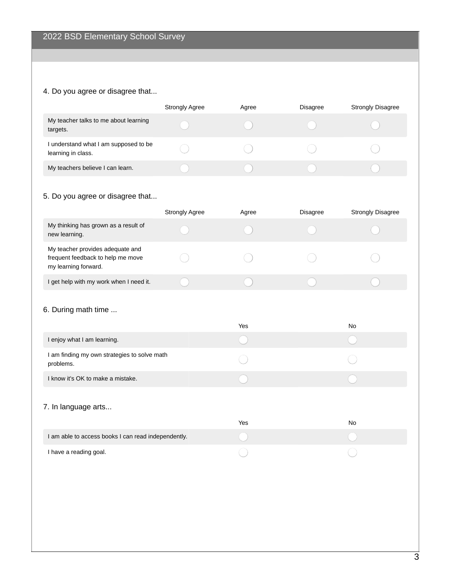#### 4. Do you agree or disagree that...

|                                                             | <b>Strongly Agree</b> | Agree | <b>Disagree</b> | <b>Strongly Disagree</b> |
|-------------------------------------------------------------|-----------------------|-------|-----------------|--------------------------|
| My teacher talks to me about learning<br>targets.           |                       |       |                 |                          |
| I understand what I am supposed to be<br>learning in class. |                       |       |                 |                          |
| My teachers believe I can learn.                            |                       |       |                 |                          |

## 5. Do you agree or disagree that...

|                                                                                               | <b>Strongly Agree</b> | Agree | <b>Disagree</b> | <b>Strongly Disagree</b> |
|-----------------------------------------------------------------------------------------------|-----------------------|-------|-----------------|--------------------------|
| My thinking has grown as a result of<br>new learning.                                         |                       |       |                 |                          |
| My teacher provides adequate and<br>frequent feedback to help me move<br>my learning forward. |                       |       |                 |                          |
| I get help with my work when I need it.                                                       |                       |       |                 |                          |

#### 6. During math time ...

|                                                           | Yes | No |
|-----------------------------------------------------------|-----|----|
| I enjoy what I am learning.                               |     |    |
| I am finding my own strategies to solve math<br>problems. |     |    |
| I know it's OK to make a mistake.                         |     |    |
| 7. In language arts                                       | Yes | No |
| I am able to access books I can read independently.       |     |    |

I have a reading goal.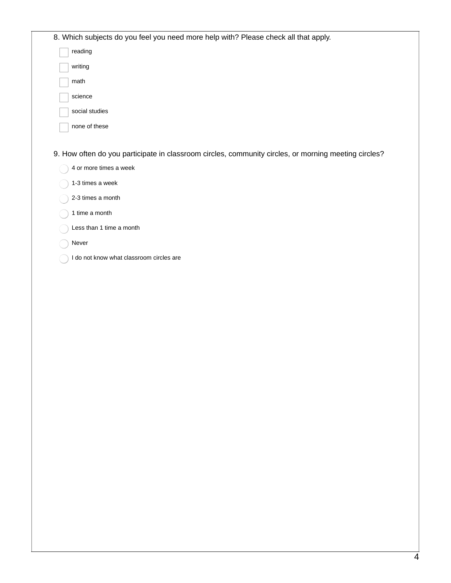| 8. Which subjects do you feel you need more help with? Please check all that apply.                  |
|------------------------------------------------------------------------------------------------------|
| reading                                                                                              |
| writing                                                                                              |
| math                                                                                                 |
| science                                                                                              |
| social studies                                                                                       |
| none of these                                                                                        |
|                                                                                                      |
| 9. How often do you participate in classroom circles, community circles, or morning meeting circles? |
| 4 or more times a week                                                                               |
| 1-3 times a week                                                                                     |
| 2-3 times a month                                                                                    |
| 1 time a month                                                                                       |
| Less than 1 time a month                                                                             |

- Never
- I do not know what classroom circles are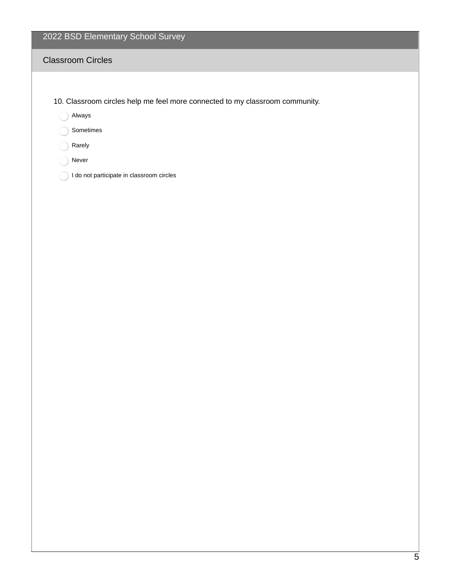# 2022 BSD Elementary School Survey

### Classroom Circles

- 10. Classroom circles help me feel more connected to my classroom community.
	- Always
	- Sometimes
	- Rarely
	- ◯ Never
	- 1 do not participate in classroom circles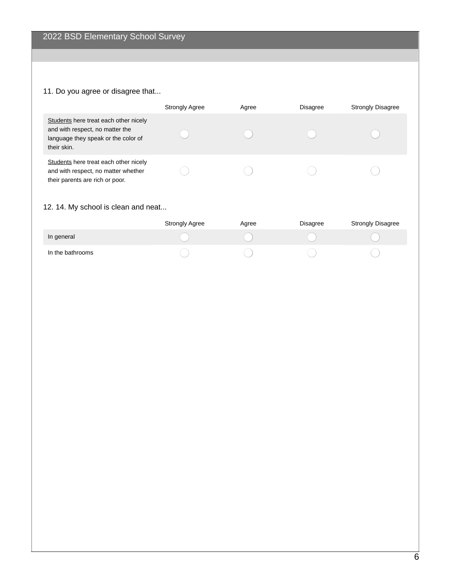#### 11. Do you agree or disagree that...

|                                                                                                                                | <b>Strongly Agree</b> | Agree | <b>Disagree</b> | <b>Strongly Disagree</b> |
|--------------------------------------------------------------------------------------------------------------------------------|-----------------------|-------|-----------------|--------------------------|
| Students here treat each other nicely<br>and with respect, no matter the<br>language they speak or the color of<br>their skin. |                       |       |                 |                          |
| Students here treat each other nicely<br>and with respect, no matter whether<br>their parents are rich or poor.                |                       |       |                 |                          |

#### 12. 14. My school is clean and neat...

|                  | <b>Strongly Agree</b> | Agree | <b>Disagree</b> | <b>Strongly Disagree</b> |
|------------------|-----------------------|-------|-----------------|--------------------------|
| In general       |                       |       |                 |                          |
| In the bathrooms |                       |       |                 |                          |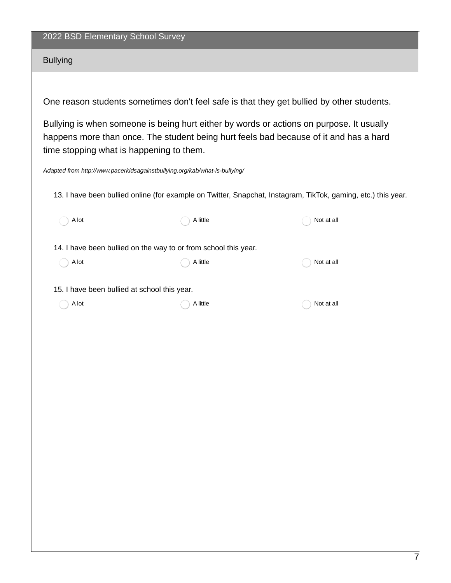#### 2022 BSD Elementary School Survey

#### Bullying

One reason students sometimes don't feel safe is that they get bullied by other students.

Bullying is when someone is being hurt either by words or actions on purpose. It usually happens more than once. The student being hurt feels bad because of it and has a hard time stopping what is happening to them.

*Adapted from http://www.pacerkidsagainstbullying.org/kab/what-is-bullying/*

13. I have been bullied online (for example on Twitter, Snapchat, Instagram, TikTok, gaming, etc.) this year.

| A lot                                                           | A little | Not at all |
|-----------------------------------------------------------------|----------|------------|
| 14. I have been bullied on the way to or from school this year. |          |            |
| A lot                                                           | A little | Not at all |
| 15. I have been bullied at school this year.                    |          |            |
| A lot                                                           | A little | Not at all |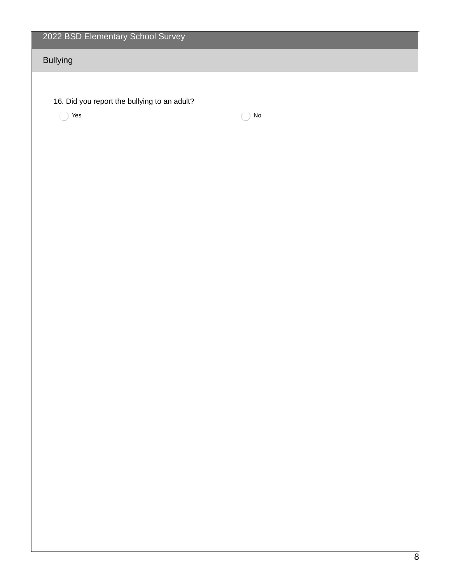| 2022 BSD Elementary School Survey            |    |
|----------------------------------------------|----|
| <b>Bullying</b>                              |    |
|                                              |    |
| 16. Did you report the bullying to an adult? |    |
| Yes                                          | No |
|                                              |    |
|                                              |    |
|                                              |    |
|                                              |    |
|                                              |    |
|                                              |    |
|                                              |    |
|                                              |    |
|                                              |    |
|                                              |    |
|                                              |    |
|                                              |    |
|                                              |    |
|                                              |    |
|                                              |    |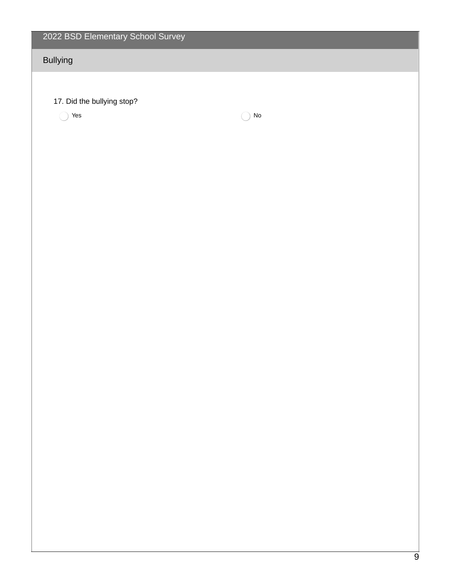| 2022 BSD Elementary School Survey |            |  |
|-----------------------------------|------------|--|
| <b>Bullying</b>                   |            |  |
|                                   |            |  |
| 17. Did the bullying stop?        |            |  |
| $\operatorname{\mathsf{Yes}}$     | ${\sf No}$ |  |
|                                   |            |  |
|                                   |            |  |
|                                   |            |  |
|                                   |            |  |
|                                   |            |  |
|                                   |            |  |
|                                   |            |  |
|                                   |            |  |
|                                   |            |  |
|                                   |            |  |
|                                   |            |  |
|                                   |            |  |
|                                   |            |  |
|                                   |            |  |
|                                   |            |  |
|                                   |            |  |
|                                   |            |  |
|                                   |            |  |
|                                   |            |  |
|                                   |            |  |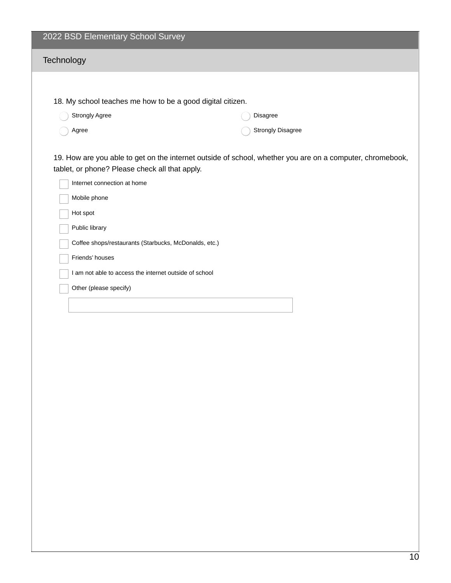|            | 2022 BSD Elementary School Survey                          |                                                                                                           |  |  |
|------------|------------------------------------------------------------|-----------------------------------------------------------------------------------------------------------|--|--|
| Technology |                                                            |                                                                                                           |  |  |
|            |                                                            |                                                                                                           |  |  |
|            |                                                            |                                                                                                           |  |  |
|            | 18. My school teaches me how to be a good digital citizen. |                                                                                                           |  |  |
|            | Strongly Agree                                             | Disagree                                                                                                  |  |  |
|            | Agree                                                      | <b>Strongly Disagree</b>                                                                                  |  |  |
|            |                                                            | 19. How are you able to get on the internet outside of school, whether you are on a computer, chromebook, |  |  |
|            | tablet, or phone? Please check all that apply.             |                                                                                                           |  |  |
|            | Internet connection at home                                |                                                                                                           |  |  |
|            | Mobile phone                                               |                                                                                                           |  |  |
|            | Hot spot                                                   |                                                                                                           |  |  |
|            | Public library                                             |                                                                                                           |  |  |
|            | Coffee shops/restaurants (Starbucks, McDonalds, etc.)      |                                                                                                           |  |  |
|            | Friends' houses                                            |                                                                                                           |  |  |
|            | I am not able to access the internet outside of school     |                                                                                                           |  |  |
|            | Other (please specify)                                     |                                                                                                           |  |  |
|            |                                                            |                                                                                                           |  |  |
|            |                                                            |                                                                                                           |  |  |
|            |                                                            |                                                                                                           |  |  |
|            |                                                            |                                                                                                           |  |  |
|            |                                                            |                                                                                                           |  |  |
|            |                                                            |                                                                                                           |  |  |
|            |                                                            |                                                                                                           |  |  |
|            |                                                            |                                                                                                           |  |  |
|            |                                                            |                                                                                                           |  |  |
|            |                                                            |                                                                                                           |  |  |
|            |                                                            |                                                                                                           |  |  |
|            |                                                            |                                                                                                           |  |  |
|            |                                                            |                                                                                                           |  |  |
|            |                                                            |                                                                                                           |  |  |
|            |                                                            |                                                                                                           |  |  |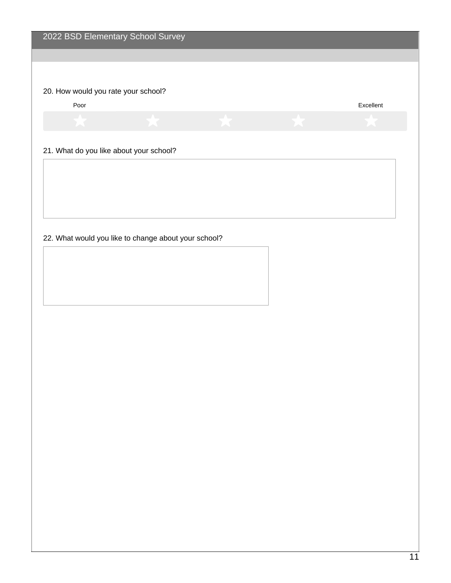## 20. How would you rate your school?

Poor Excellent

#### 21. What do you like about your school?

22. What would you like to change about your school?